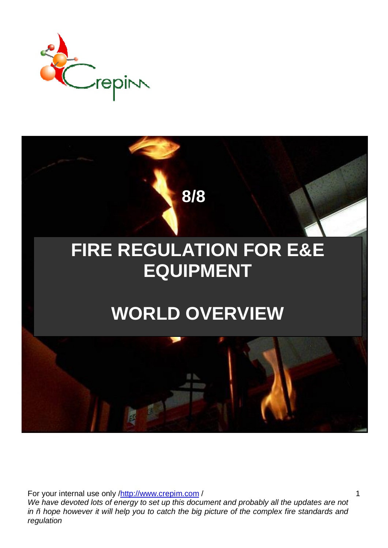



For your internal use only /http://www.crepim.com/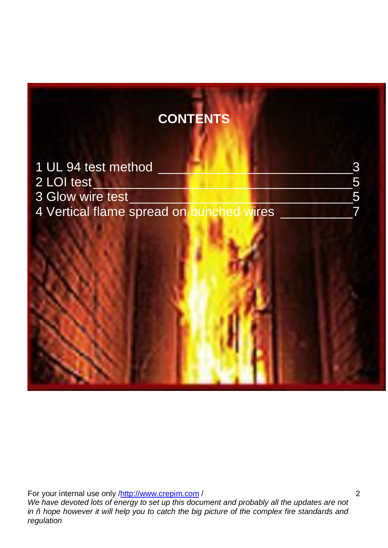# **CONTENTS**

| 1 UL 94 test method                      |  |
|------------------------------------------|--|
| 2 LOI test                               |  |
| 3 Glow wire test                         |  |
| 4 Vertical flame spread on bunched wires |  |

For your internal use only /http://www.crepim.com/ *We have devoted lots of energy to set up this document and probably all the updates are not in – hope however it will help you to catch the big picture of the complex fire standards and regulation*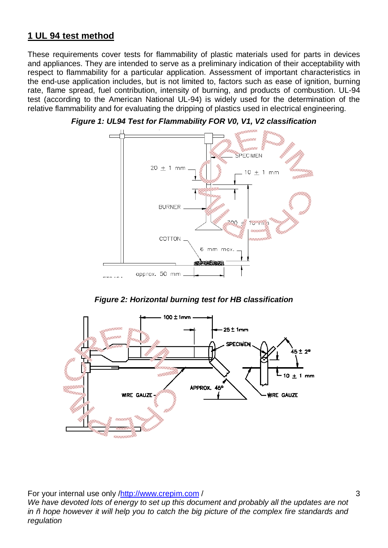## **1 UL 94 test method**

These requirements cover tests for flammability of plastic materials used for parts in devices and appliances. They are intended to serve as a preliminary indication of their acceptability with respect to flammability for a particular application. Assessment of important characteristics in the end-use application includes, but is not limited to, factors such as ease of ignition, burning rate, flame spread, fuel contribution, intensity of burning, and products of combustion. UL-94 test (according to the American National UL-94) is widely used for the determination of the relative flammability and for evaluating the dripping of plastics used in electrical engineering.



*Figure 1: UL94 Test for Flammability FOR V0, V1, V2 classification* 

*Figure 2: Horizontal burning test for HB classification* 



For your internal use only /http://www.crepim.com/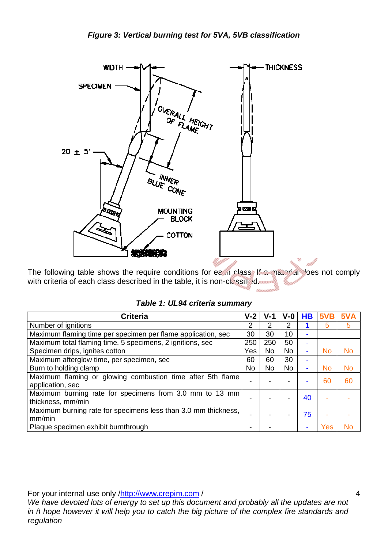

The following table shows the require conditions for each class. If a material does not comply with criteria of each class described in the table, it is non-classified.

| <b>Criteria</b>                                                                | $V-2$          | $V-1$     | $V - 0$   | <b>HB</b>                | 5VB       | 5VA       |
|--------------------------------------------------------------------------------|----------------|-----------|-----------|--------------------------|-----------|-----------|
| Number of ignitions                                                            | $\overline{2}$ | 2         | 2         |                          | 5         | 5         |
| Maximum flaming time per specimen per flame application, sec                   | 30             | 30        | 10        | ۰                        |           |           |
| Maximum total flaming time, 5 specimens, 2 ignitions, sec                      | 250            | 250       | 50        | $\overline{\phantom{a}}$ |           |           |
| Specimen drips, ignites cotton                                                 | Yes            | No        | <b>No</b> | ۰                        | <b>No</b> | <b>No</b> |
| Maximum afterglow time, per specimen, sec                                      | 60             | 60        | 30        | ۰                        |           |           |
| Burn to holding clamp                                                          | No             | <b>No</b> | <b>No</b> | $\overline{\phantom{a}}$ | No        | <b>No</b> |
| Maximum flaming or glowing combustion time after 5th flame<br>application, sec |                |           |           | ۰                        | 60        | 60        |
| Maximum burning rate for specimens from 3.0 mm to 13 mm<br>thickness, mm/min   |                |           |           | 40                       |           |           |
| Maximum burning rate for specimens less than 3.0 mm thickness,<br>mm/min       |                |           |           | 75                       |           |           |
| Plaque specimen exhibit burnthrough                                            |                |           |           | $\overline{\phantom{a}}$ | Yes       | No        |

For your internal use only /http://www.crepim.com/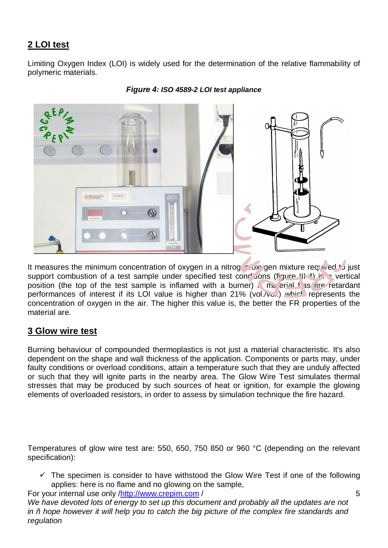## **2 LOI test**

Limiting Oxygen Index (LOI) is widely used for the determination of the relative flammability of polymeric materials.



*Figure 4: ISO 4589-2 LOI test appliance* 

It measures the minimum concentration of oxygen in a nitrogen oxygen mixture required to just support combustion of a test sample under specified test conditions (figure III-4) in a vertical position (the top of the test sample is inflamed with a burner). The erial has fire retardant performances of interest if its LOI value is higher than 21% (vol./vol.) which represents the concentration of oxygen in the air. The higher this value is, the better the FR properties of the material are.

#### **3 Glow wire test**

Burning behaviour of compounded thermoplastics is not just a material characteristic. It's also dependent on the shape and wall thickness of the application. Components or parts may, under faulty conditions or overload conditions, attain a temperature such that they are unduly affected or such that they will ignite parts in the nearby area. The Glow Wire Test simulates thermal stresses that may be produced by such sources of heat or ignition, for example the glowing elements of overloaded resistors, in order to assess by simulation technique the fire hazard.

Temperatures of glow wire test are: 550, 650, 750 850 or 960 °C (depending on the relevant specification):

 $\checkmark$  The specimen is consider to have withstood the Glow Wire Test if one of the following applies: here is no flame and no glowing on the sample,

5

For your internal use only /http://www.crepim.com /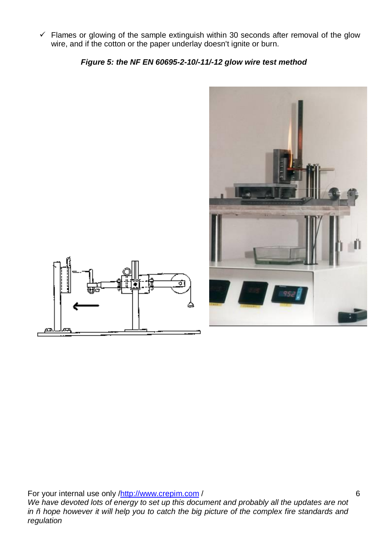$\checkmark$  Flames or glowing of the sample extinguish within 30 seconds after removal of the glow wire, and if the cotton or the paper underlay doesn't ignite or burn.

*Figure 5: the NF EN 60695-2-10/-11/-12 glow wire test method* 



For your internal use only /http://www.crepim.com/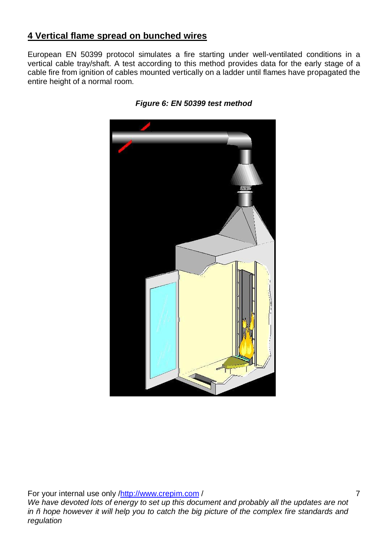## **4 Vertical flame spread on bunched wires**

European EN 50399 protocol simulates a fire starting under well-ventilated conditions in a vertical cable tray/shaft. A test according to this method provides data for the early stage of a cable fire from ignition of cables mounted vertically on a ladder until flames have propagated the entire height of a normal room.





For your internal use only /http://www.crepim.com/ *We have devoted lots of energy to set up this document and probably all the updates are not in – hope however it will help you to catch the big picture of the complex fire standards and regulation*